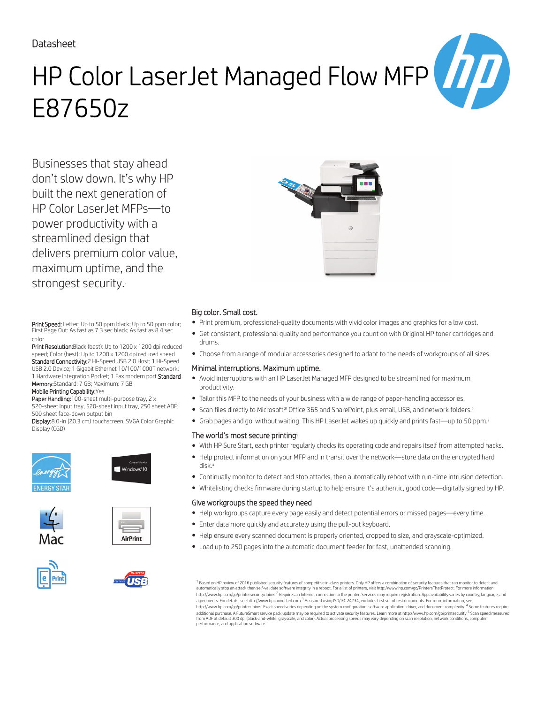### Datasheet

# HP Color LaserJet Managed Flow MFP E87650z

Businesses that stay ahead don't slow down. It's why HP built the next generation of HP Color LaserJet MFPs—to power productivity with a streamlined design that delivers premium color value, maximum uptime, and the strongest security.

Print Speed: Letter: Up to 50 ppm black; Up to 50 ppm color; First Page Out: As fast as 7.3 sec black; As fast as 8.4 sec color

Print Resolution: Black (best): Up to 1200 x 1200 dpi reduced speed; Color (best): Up to 1200 x 1200 dpi reduced speed Standard Connectivity:2 Hi-Speed USB 2.0 Host; 1 Hi-Speed USB 2.0 Device; 1 Gigabit Ethernet 10/100/1000T network; 1 Hardware Integration Pocket; 1 Fax modem port Standard Memory:Standard: 7 GB; Maximum: 7 GB

#### Mobile Printing Capability:Yes

Paper Handling:100-sheet multi-purpose tray, 2 x 520-sheet input tray, 520-sheet input tray, 250 sheet ADF; 500 sheet face-down output bin

Display:8.0-in (20.3 cm) touchscreen, SVGA Color Graphic Display (CGD)









TICI





#### Big color. Small cost.

- Print premium, professional-quality documents with vivid color images and graphics for a low cost.
- Get consistent, professional quality and performance you count on with Original HP toner cartridges and drums.
- Choose from a range of modular accessories designed to adapt to the needs of workgroups of all sizes.

#### Minimal interruptions. Maximum uptime.

- Avoid interruptions with an HP LaserJet Managed MFP designed to be streamlined for maximum productivity.
- Tailor this MFP to the needs of your business with a wide range of paper-handling accessories.
- Scan files directly to Microsoft® Office 365 and SharePoint, plus email, USB, and network folders.<sup>2</sup>
- Grab pages and go, without waiting. This HP LaserJet wakes up quickly and prints fast—up to 50 ppm.<sup>3</sup>

#### The world's most secure printing<sup>1</sup>

- With HP Sure Start, each printer regularly checks its operating code and repairs itself from attempted hacks.
- Help protect information on your MFP and in transit over the network—store data on the encrypted hard disk.<sup>4</sup>
- Continually monitor to detect and stop attacks, then automatically reboot with run-time intrusion detection.
- Whitelisting checks firmware during startup to help ensure it's authentic, good code—digitally signed by HP.

#### Give workgroups the speed they need

- Help workgroups capture every page easily and detect potential errors or missed pages—every time.
- Enter data more quickly and accurately using the pull-out keyboard.
- Help ensure every scanned document is properly oriented, cropped to size, and grayscale-optimized.
- Load up to 250 pages into the automatic document feeder for fast, unattended scanning.

 $^{\rm 1}$  Based on HP review of 2016 published security features of competitive in-class printers. Only HP offers a combination of security features that can monitor to detect and automatically stop an attack then self-validate software integrity in a reboot. For a list of printers, visit http://www.hp.com/go/PrintersThatProtect. For more information:<br>http://www.hp.com/go/printersecurityclaims <sup>2</sup> R agreements. For details, see http://www.hpconnected.com <sup>3</sup> Measured using ISO/IEC 24734, excludes first set of test documents. For more information, see http://www.hp.com/go/printerclaims. Exact speed varies depending on the system configuration, software application, driver, and document complexity. <sup>4</sup> Some features require<br>additional purchase. A FutureSmart service pack from ADF at default 300 dpi (black-and-white, grayscale, and color). Actual processing speeds may vary depending on scan resolution, network conditions, computer performance, and application software.